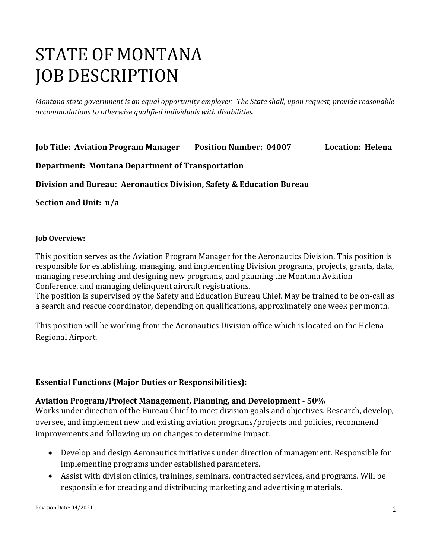# STATE OF MONTANA JOB DESCRIPTION

*Montana state government is an equal opportunity employer. The State shall, upon request, provide reasonable accommodations to otherwise qualified individuals with disabilities.*

**Job Title: Aviation Program Manager Position Number: 04007 Location: Helena** 

#### **Department: Montana Department of Transportation**

**Division and Bureau: Aeronautics Division, Safety & Education Bureau**

**Section and Unit: n/a**

#### **Job Overview:**

This position serves as the Aviation Program Manager for the Aeronautics Division. This position is responsible for establishing, managing, and implementing Division programs, projects, grants, data, managing researching and designing new programs, and planning the Montana Aviation Conference, and managing delinquent aircraft registrations.

The position is supervised by the Safety and Education Bureau Chief. May be trained to be on-call as a search and rescue coordinator, depending on qualifications, approximately one week per month.

This position will be working from the Aeronautics Division office which is located on the Helena Regional Airport.

## **Essential Functions (Major Duties or Responsibilities):**

#### **Aviation Program/Project Management, Planning, and Development - 50%**

Works under direction of the Bureau Chief to meet division goals and objectives. Research, develop, oversee, and implement new and existing aviation programs/projects and policies, recommend improvements and following up on changes to determine impact.

- Develop and design Aeronautics initiatives under direction of management. Responsible for implementing programs under established parameters.
- Assist with division clinics, trainings, seminars, contracted services, and programs. Will be responsible for creating and distributing marketing and advertising materials.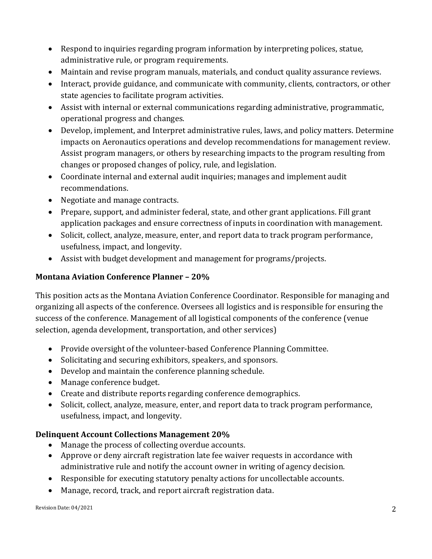- Respond to inquiries regarding program information by interpreting polices, statue, administrative rule, or program requirements.
- Maintain and revise program manuals, materials, and conduct quality assurance reviews.
- Interact, provide guidance, and communicate with community, clients, contractors, or other state agencies to facilitate program activities.
- Assist with internal or external communications regarding administrative, programmatic, operational progress and changes.
- Develop, implement, and Interpret administrative rules, laws, and policy matters. Determine impacts on Aeronautics operations and develop recommendations for management review. Assist program managers, or others by researching impacts to the program resulting from changes or proposed changes of policy, rule, and legislation.
- Coordinate internal and external audit inquiries; manages and implement audit recommendations.
- Negotiate and manage contracts.
- Prepare, support, and administer federal, state, and other grant applications. Fill grant application packages and ensure correctness of inputs in coordination with management.
- Solicit, collect, analyze, measure, enter, and report data to track program performance, usefulness, impact, and longevity.
- Assist with budget development and management for programs/projects.

# **Montana Aviation Conference Planner – 20%**

This position acts as the Montana Aviation Conference Coordinator. Responsible for managing and organizing all aspects of the conference. Oversees all logistics and is responsible for ensuring the success of the conference. Management of all logistical components of the conference (venue selection, agenda development, transportation, and other services)

- Provide oversight of the volunteer-based Conference Planning Committee.
- Solicitating and securing exhibitors, speakers, and sponsors.
- Develop and maintain the conference planning schedule.
- Manage conference budget.
- Create and distribute reports regarding conference demographics.
- Solicit, collect, analyze, measure, enter, and report data to track program performance, usefulness, impact, and longevity.

## **Delinquent Account Collections Management 20%**

- Manage the process of collecting overdue accounts.
- Approve or deny aircraft registration late fee waiver requests in accordance with administrative rule and notify the account owner in writing of agency decision.
- Responsible for executing statutory penalty actions for uncollectable accounts.
- Manage, record, track, and report aircraft registration data.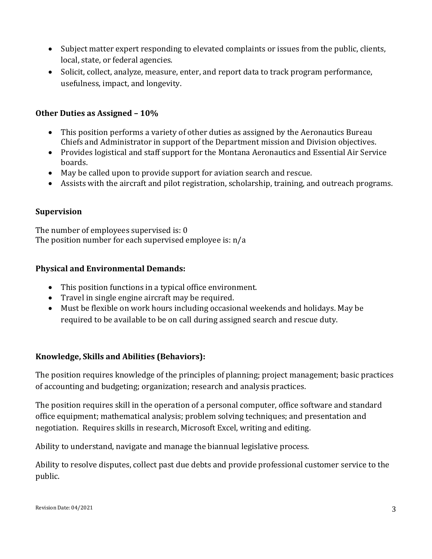- Subject matter expert responding to elevated complaints or issues from the public, clients, local, state, or federal agencies.
- Solicit, collect, analyze, measure, enter, and report data to track program performance, usefulness, impact, and longevity.

#### **Other Duties as Assigned – 10%**

- This position performs a variety of other duties as assigned by the Aeronautics Bureau Chiefs and Administrator in support of the Department mission and Division objectives.
- Provides logistical and staff support for the Montana Aeronautics and Essential Air Service boards.
- May be called upon to provide support for aviation search and rescue.
- Assists with the aircraft and pilot registration, scholarship, training, and outreach programs.

## **Supervision**

The number of employees supervised is: 0 The position number for each supervised employee is: n/a

#### **Physical and Environmental Demands:**

- This position functions in a typical office environment.
- Travel in single engine aircraft may be required.
- Must be flexible on work hours including occasional weekends and holidays. May be required to be available to be on call during assigned search and rescue duty.

## **Knowledge, Skills and Abilities (Behaviors):**

The position requires knowledge of the principles of planning; project management; basic practices of accounting and budgeting; organization; research and analysis practices.

The position requires skill in the operation of a personal computer, office software and standard office equipment; mathematical analysis; problem solving techniques; and presentation and negotiation. Requires skills in research, Microsoft Excel, writing and editing.

Ability to understand, navigate and manage the biannual legislative process.

Ability to resolve disputes, collect past due debts and provide professional customer service to the public.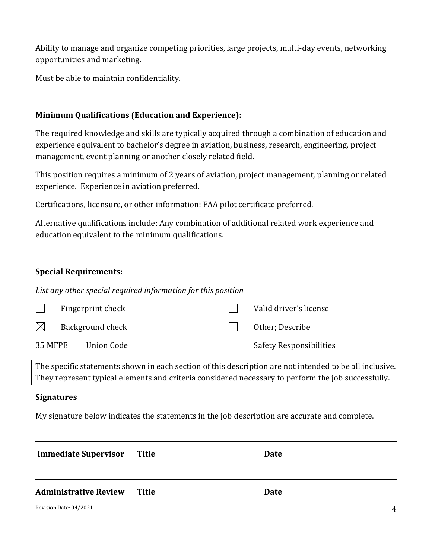Ability to manage and organize competing priorities, large projects, multi-day events, networking opportunities and marketing.

Must be able to maintain confidentiality.

#### **Minimum Qualifications (Education and Experience):**

The required knowledge and skills are typically acquired through a combination of education and experience equivalent to bachelor's degree in aviation, business, research, engineering, project management, event planning or another closely related field.

This position requires a minimum of 2 years of aviation, project management, planning or related experience. Experience in aviation preferred.

Certifications, licensure, or other information: FAA pilot certificate preferred.

Alternative qualifications include: Any combination of additional related work experience and education equivalent to the minimum qualifications.

#### **Special Requirements:**

*List any other special required information for this position*

|           | Fingerprint check     |  | Valid driver's license         |
|-----------|-----------------------|--|--------------------------------|
| $\bowtie$ | Background check      |  | Other; Describe                |
|           | 35 MFPE<br>Union Code |  | <b>Safety Responsibilities</b> |

The specific statements shown in each section of this description are not intended to be all inclusive. They represent typical elements and criteria considered necessary to perform the job successfully.

#### **Signatures**

My signature below indicates the statements in the job description are accurate and complete.

| <b>Immediate Supervisor</b>  | Title | Date |                |
|------------------------------|-------|------|----------------|
| <b>Administrative Review</b> | Title | Date |                |
| Revision Date: 04/2021       |       |      | $\overline{4}$ |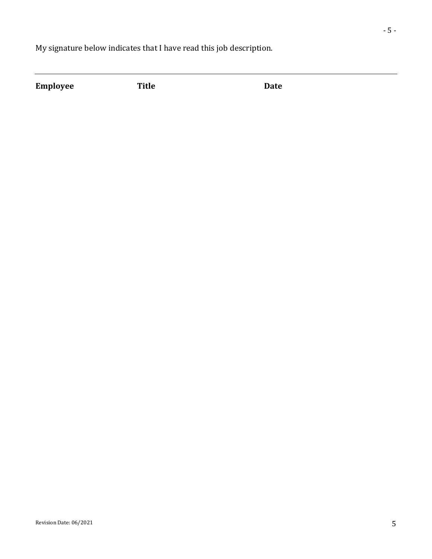My signature below indicates that I have read this job description.

**Employee Title Date**